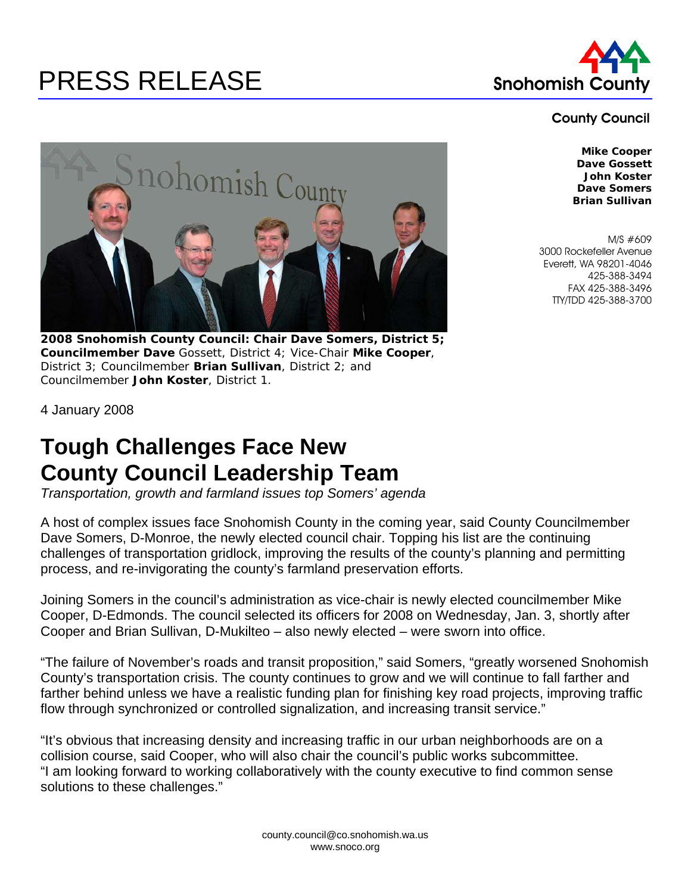## PRESS RELEASE Snohomish County



## County Council



**2008 Snohomish County Council: Chair Dave Somers, District 5; Councilmember Dave** Gossett, District 4; Vice-Chair **Mike Cooper**, District 3; Councilmember **Brian Sullivan**, District 2; and Councilmember **John Koster**, District 1.

**Mike Cooper Dave Gossett John Koster Dave Somers Brian Sullivan** 

M/S #609 3000 Rockefeller Avenue Everett, WA 98201-4046 425-388-3494 FAX 425-388-3496 TTY/TDD 425-388-3700

4 January 2008

## **Tough Challenges Face New County Council Leadership Team**

*Transportation, growth and farmland issues top Somers' agenda* 

A host of complex issues face Snohomish County in the coming year, said County Councilmember Dave Somers, D-Monroe, the newly elected council chair. Topping his list are the continuing challenges of transportation gridlock, improving the results of the county's planning and permitting process, and re-invigorating the county's farmland preservation efforts.

Joining Somers in the council's administration as vice-chair is newly elected councilmember Mike Cooper, D-Edmonds. The council selected its officers for 2008 on Wednesday, Jan. 3, shortly after Cooper and Brian Sullivan, D-Mukilteo – also newly elected – were sworn into office.

"The failure of November's roads and transit proposition," said Somers, "greatly worsened Snohomish County's transportation crisis. The county continues to grow and we will continue to fall farther and farther behind unless we have a realistic funding plan for finishing key road projects, improving traffic flow through synchronized or controlled signalization, and increasing transit service."

"It's obvious that increasing density and increasing traffic in our urban neighborhoods are on a collision course, said Cooper, who will also chair the council's public works subcommittee. "I am looking forward to working collaboratively with the county executive to find common sense solutions to these challenges."